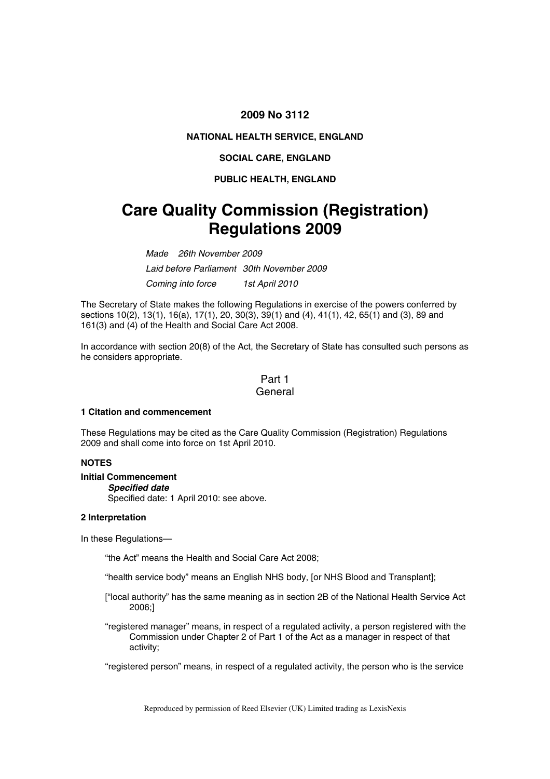# **2009 No 3112**

# **NATIONAL HEALTH SERVICE, ENGLAND**

#### **SOCIAL CARE, ENGLAND**

## **PUBLIC HEALTH, ENGLAND**

# **Care Quality Commission (Registration) Regulations 2009**

*Made 26th November 2009 Laid before Parliament 30th November 2009 Coming into force 1st April 2010* 

The Secretary of State makes the following Regulations in exercise of the powers conferred by sections 10(2), 13(1), 16(a), 17(1), 20, 30(3), 39(1) and (4), 41(1), 42, 65(1) and (3), 89 and 161(3) and (4) of the Health and Social Care Act 2008.

In accordance with section 20(8) of the Act, the Secretary of State has consulted such persons as he considers appropriate.

# Part 1 General

## **1 Citation and commencement**

These Regulations may be cited as the Care Quality Commission (Registration) Regulations 2009 and shall come into force on 1st April 2010.

# **NOTES**

#### **Initial Commencement**

#### *Specified date*

Specified date: 1 April 2010: see above.

# **2 Interpretation**

In these Regulations—

"the Act" means the Health and Social Care Act 2008;

"health service body" means an English NHS body, [or NHS Blood and Transplant];

- ["local authority" has the same meaning as in section 2B of the National Health Service Act 2006;]
- "registered manager" means, in respect of a regulated activity, a person registered with the Commission under Chapter 2 of Part 1 of the Act as a manager in respect of that activity;

"registered person" means, in respect of a regulated activity, the person who is the service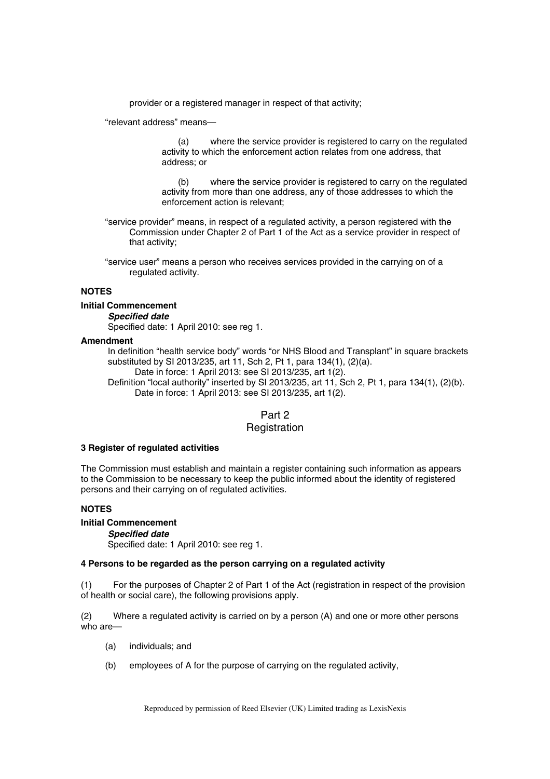provider or a registered manager in respect of that activity;

"relevant address" means—

(a) where the service provider is registered to carry on the regulated activity to which the enforcement action relates from one address, that address; or

(b) where the service provider is registered to carry on the regulated activity from more than one address, any of those addresses to which the enforcement action is relevant;

"service provider" means, in respect of a regulated activity, a person registered with the Commission under Chapter 2 of Part 1 of the Act as a service provider in respect of that activity;

"service user" means a person who receives services provided in the carrying on of a regulated activity.

# **NOTES**

#### **Initial Commencement**

*Specified date* 

Specified date: 1 April 2010: see reg 1.

#### **Amendment**

In definition "health service body" words "or NHS Blood and Transplant" in square brackets substituted by SI 2013/235, art 11, Sch 2, Pt 1, para 134(1), (2)(a).

Date in force: 1 April 2013: see SI 2013/235, art 1(2).

Definition "local authority" inserted by SI 2013/235, art 11, Sch 2, Pt 1, para 134(1), (2)(b). Date in force: 1 April 2013: see SI 2013/235, art 1(2).

# Part 2

# **Registration**

#### **3 Register of regulated activities**

The Commission must establish and maintain a register containing such information as appears to the Commission to be necessary to keep the public informed about the identity of registered persons and their carrying on of regulated activities.

#### **NOTES**

# **Initial Commencement**

#### *Specified date*

Specified date: 1 April 2010: see reg 1.

## **4 Persons to be regarded as the person carrying on a regulated activity**

(1) For the purposes of Chapter 2 of Part 1 of the Act (registration in respect of the provision of health or social care), the following provisions apply.

(2) Where a regulated activity is carried on by a person (A) and one or more other persons who are—

- (a) individuals; and
- (b) employees of A for the purpose of carrying on the regulated activity,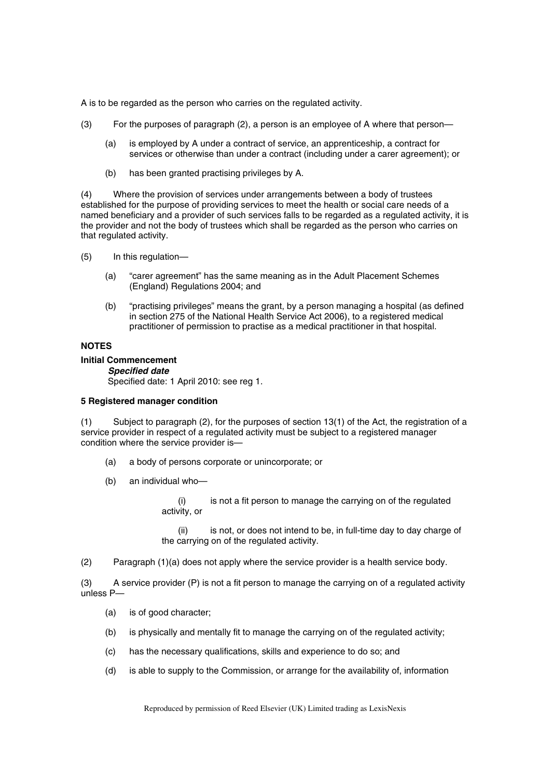A is to be regarded as the person who carries on the regulated activity.

- (3) For the purposes of paragraph (2), a person is an employee of A where that person—
	- (a) is employed by A under a contract of service, an apprenticeship, a contract for services or otherwise than under a contract (including under a carer agreement); or
	- (b) has been granted practising privileges by A.

(4) Where the provision of services under arrangements between a body of trustees established for the purpose of providing services to meet the health or social care needs of a named beneficiary and a provider of such services falls to be regarded as a regulated activity, it is the provider and not the body of trustees which shall be regarded as the person who carries on that regulated activity.

- (5) In this regulation—
	- (a) "carer agreement" has the same meaning as in the Adult Placement Schemes (England) Regulations 2004; and
	- (b) "practising privileges" means the grant, by a person managing a hospital (as defined in section 275 of the National Health Service Act 2006), to a registered medical practitioner of permission to practise as a medical practitioner in that hospital.

## **NOTES**

# **Initial Commencement**

*Specified date* 

Specified date: 1 April 2010: see reg 1.

#### **5 Registered manager condition**

(1) Subject to paragraph (2), for the purposes of section 13(1) of the Act, the registration of a service provider in respect of a regulated activity must be subject to a registered manager condition where the service provider is—

- (a) a body of persons corporate or unincorporate; or
- (b) an individual who—
	- (i) is not a fit person to manage the carrying on of the regulated activity, or

(ii) is not, or does not intend to be, in full-time day to day charge of the carrying on of the regulated activity.

(2) Paragraph (1)(a) does not apply where the service provider is a health service body.

(3) A service provider (P) is not a fit person to manage the carrying on of a regulated activity unless P—

- (a) is of good character;
- (b) is physically and mentally fit to manage the carrying on of the regulated activity;
- (c) has the necessary qualifications, skills and experience to do so; and
- (d) is able to supply to the Commission, or arrange for the availability of, information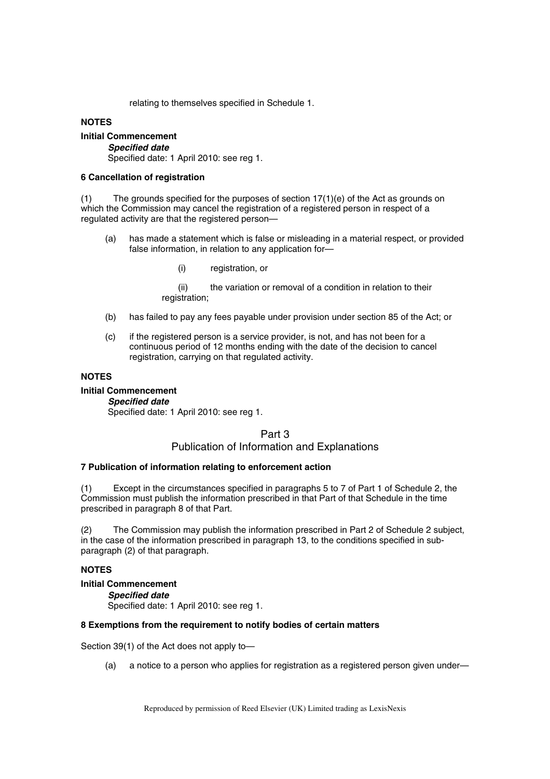relating to themselves specified in Schedule 1.

#### **NOTES**

**Initial Commencement**  *Specified date*  Specified date: 1 April 2010: see reg 1.

## **6 Cancellation of registration**

(1) The grounds specified for the purposes of section  $17(1)(e)$  of the Act as grounds on which the Commission may cancel the registration of a registered person in respect of a regulated activity are that the registered person—

- (a) has made a statement which is false or misleading in a material respect, or provided false information, in relation to any application for—
	- (i) registration, or

(ii) the variation or removal of a condition in relation to their registration;

- (b) has failed to pay any fees payable under provision under section 85 of the Act; or
- (c) if the registered person is a service provider, is not, and has not been for a continuous period of 12 months ending with the date of the decision to cancel registration, carrying on that regulated activity.

#### **NOTES**

**Initial Commencement** 

*Specified date*  Specified date: 1 April 2010: see reg 1.

# Part 3

# Publication of Information and Explanations

# **7 Publication of information relating to enforcement action**

(1) Except in the circumstances specified in paragraphs 5 to 7 of Part 1 of Schedule 2, the Commission must publish the information prescribed in that Part of that Schedule in the time prescribed in paragraph 8 of that Part.

(2) The Commission may publish the information prescribed in Part 2 of Schedule 2 subject, in the case of the information prescribed in paragraph 13, to the conditions specified in subparagraph (2) of that paragraph.

## **NOTES**

**Initial Commencement**  *Specified date*  Specified date: 1 April 2010: see reg 1.

## **8 Exemptions from the requirement to notify bodies of certain matters**

Section 39(1) of the Act does not apply to—

(a) a notice to a person who applies for registration as a registered person given under—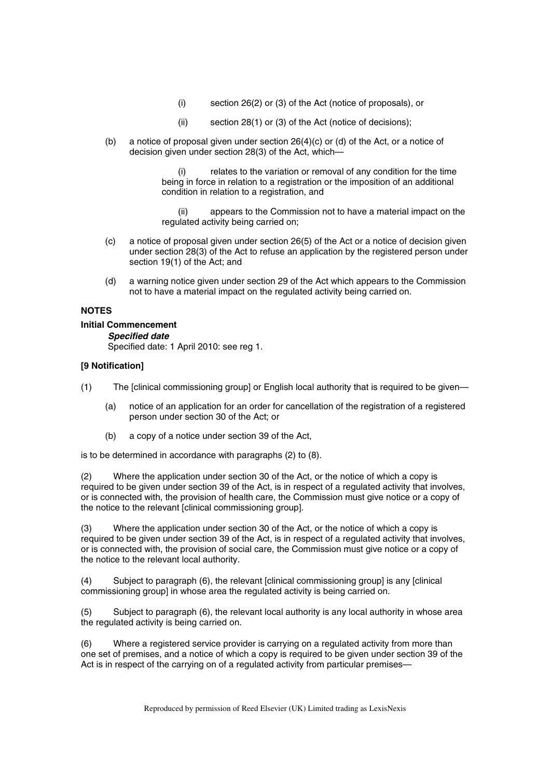- (i) section 26(2) or (3) of the Act (notice of proposals), or
- (ii) section 28(1) or (3) of the Act (notice of decisions);
- (b) a notice of proposal given under section 26(4)(c) or (d) of the Act, or a notice of decision given under section 28(3) of the Act, which—

(i) relates to the variation or removal of any condition for the time being in force in relation to a registration or the imposition of an additional condition in relation to a registration, and

(ii) appears to the Commission not to have a material impact on the regulated activity being carried on;

- (c) a notice of proposal given under section 26(5) of the Act or a notice of decision given under section 28(3) of the Act to refuse an application by the registered person under section 19(1) of the Act; and
- (d) a warning notice given under section 29 of the Act which appears to the Commission not to have a material impact on the regulated activity being carried on.

# **NOTES**

# **Initial Commencement**

*Specified date*  Specified date: 1 April 2010: see reg 1.

# **[9 Notification]**

- (1) The [clinical commissioning group] or English local authority that is required to be given—
	- (a) notice of an application for an order for cancellation of the registration of a registered person under section 30 of the Act; or
	- (b) a copy of a notice under section 39 of the Act,

is to be determined in accordance with paragraphs (2) to (8).

(2) Where the application under section 30 of the Act, or the notice of which a copy is required to be given under section 39 of the Act, is in respect of a regulated activity that involves, or is connected with, the provision of health care, the Commission must give notice or a copy of the notice to the relevant [clinical commissioning group].

(3) Where the application under section 30 of the Act, or the notice of which a copy is required to be given under section 39 of the Act, is in respect of a regulated activity that involves, or is connected with, the provision of social care, the Commission must give notice or a copy of the notice to the relevant local authority.

(4) Subject to paragraph (6), the relevant [clinical commissioning group] is any [clinical commissioning group] in whose area the regulated activity is being carried on.

(5) Subject to paragraph (6), the relevant local authority is any local authority in whose area the regulated activity is being carried on.

(6) Where a registered service provider is carrying on a regulated activity from more than one set of premises, and a notice of which a copy is required to be given under section 39 of the Act is in respect of the carrying on of a regulated activity from particular premises—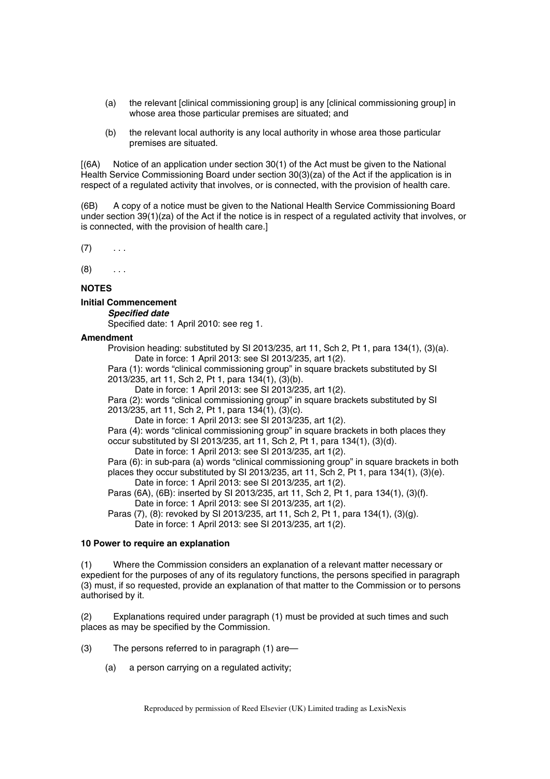- (a) the relevant [clinical commissioning group] is any [clinical commissioning group] in whose area those particular premises are situated; and
- (b) the relevant local authority is any local authority in whose area those particular premises are situated.

[(6A) Notice of an application under section 30(1) of the Act must be given to the National Health Service Commissioning Board under section 30(3)(za) of the Act if the application is in respect of a regulated activity that involves, or is connected, with the provision of health care.

(6B) A copy of a notice must be given to the National Health Service Commissioning Board under section 39(1)(za) of the Act if the notice is in respect of a regulated activity that involves, or is connected, with the provision of health care.]

 $(7)$  ...

 $(8)$  ...

## **NOTES**

#### **Initial Commencement**

*Specified date* 

Specified date: 1 April 2010: see reg 1.

#### **Amendment**

Provision heading: substituted by SI 2013/235, art 11, Sch 2, Pt 1, para 134(1), (3)(a). Date in force: 1 April 2013: see SI 2013/235, art 1(2).

Para (1): words "clinical commissioning group" in square brackets substituted by SI 2013/235, art 11, Sch 2, Pt 1, para 134(1), (3)(b).

Date in force: 1 April 2013: see SI 2013/235, art 1(2).

Para (2): words "clinical commissioning group" in square brackets substituted by SI 2013/235, art 11, Sch 2, Pt 1, para 134(1), (3)(c).

Date in force: 1 April 2013: see SI 2013/235, art 1(2).

Para (4): words "clinical commissioning group" in square brackets in both places they occur substituted by SI 2013/235, art 11, Sch 2, Pt 1, para 134(1), (3)(d).

Date in force: 1 April 2013: see SI 2013/235, art 1(2).

Para (6): in sub-para (a) words "clinical commissioning group" in square brackets in both places they occur substituted by SI 2013/235, art 11, Sch 2, Pt 1, para 134(1), (3)(e). Date in force: 1 April 2013: see SI 2013/235, art 1(2).

Paras (6A), (6B): inserted by SI 2013/235, art 11, Sch 2, Pt 1, para 134(1), (3)(f). Date in force: 1 April 2013: see SI 2013/235, art 1(2).

Paras (7), (8): revoked by SI 2013/235, art 11, Sch 2, Pt 1, para 134(1), (3)(g).

Date in force: 1 April 2013: see SI 2013/235, art 1(2).

# **10 Power to require an explanation**

(1) Where the Commission considers an explanation of a relevant matter necessary or expedient for the purposes of any of its regulatory functions, the persons specified in paragraph (3) must, if so requested, provide an explanation of that matter to the Commission or to persons authorised by it.

(2) Explanations required under paragraph (1) must be provided at such times and such places as may be specified by the Commission.

- (3) The persons referred to in paragraph (1) are—
	- (a) a person carrying on a regulated activity;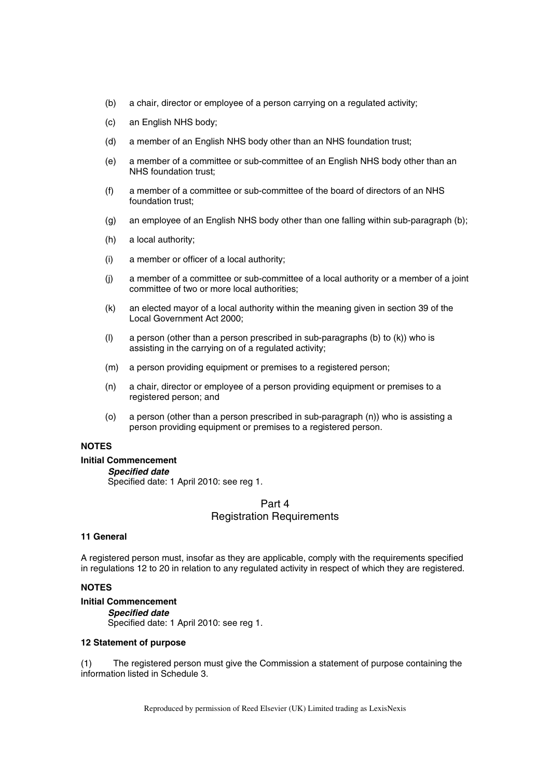- (b) a chair, director or employee of a person carrying on a regulated activity;
- (c) an English NHS body;
- (d) a member of an English NHS body other than an NHS foundation trust;
- (e) a member of a committee or sub-committee of an English NHS body other than an NHS foundation trust;
- (f) a member of a committee or sub-committee of the board of directors of an NHS foundation trust;
- (g) an employee of an English NHS body other than one falling within sub-paragraph (b);
- (h) a local authority;
- (i) a member or officer of a local authority;
- (j) a member of a committee or sub-committee of a local authority or a member of a joint committee of two or more local authorities;
- (k) an elected mayor of a local authority within the meaning given in section 39 of the Local Government Act 2000;
- (l) a person (other than a person prescribed in sub-paragraphs (b) to (k)) who is assisting in the carrying on of a regulated activity;
- (m) a person providing equipment or premises to a registered person;
- (n) a chair, director or employee of a person providing equipment or premises to a registered person; and
- (o) a person (other than a person prescribed in sub-paragraph (n)) who is assisting a person providing equipment or premises to a registered person.

# **NOTES**

## **Initial Commencement**

## *Specified date*

Specified date: 1 April 2010: see reg 1.

# Part 4 Registration Requirements

#### **11 General**

A registered person must, insofar as they are applicable, comply with the requirements specified in regulations 12 to 20 in relation to any regulated activity in respect of which they are registered.

# **NOTES**

# **Initial Commencement**

*Specified date*  Specified date: 1 April 2010: see reg 1.

## **12 Statement of purpose**

(1) The registered person must give the Commission a statement of purpose containing the information listed in Schedule 3.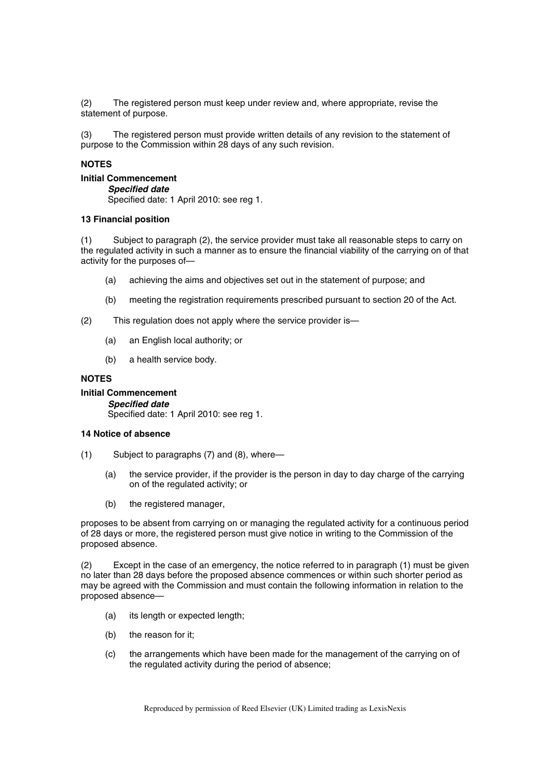(2) The registered person must keep under review and, where appropriate, revise the statement of purpose.

(3) The registered person must provide written details of any revision to the statement of purpose to the Commission within 28 days of any such revision.

# **NOTES**

**Initial Commencement**  *Specified date*  Specified date: 1 April 2010: see reg 1.

## **13 Financial position**

(1) Subject to paragraph (2), the service provider must take all reasonable steps to carry on the regulated activity in such a manner as to ensure the financial viability of the carrying on of that activity for the purposes of—

- (a) achieving the aims and objectives set out in the statement of purpose; and
- (b) meeting the registration requirements prescribed pursuant to section 20 of the Act.
- (2) This regulation does not apply where the service provider is—
	- (a) an English local authority; or
	- (b) a health service body.

# **NOTES**

**Initial Commencement**  *Specified date*  Specified date: 1 April 2010: see reg 1.

#### **14 Notice of absence**

- (1) Subject to paragraphs (7) and (8), where—
	- (a) the service provider, if the provider is the person in day to day charge of the carrying on of the regulated activity; or
	- (b) the registered manager,

proposes to be absent from carrying on or managing the regulated activity for a continuous period of 28 days or more, the registered person must give notice in writing to the Commission of the proposed absence.

(2) Except in the case of an emergency, the notice referred to in paragraph (1) must be given no later than 28 days before the proposed absence commences or within such shorter period as may be agreed with the Commission and must contain the following information in relation to the proposed absence—

- (a) its length or expected length;
- (b) the reason for it;
- (c) the arrangements which have been made for the management of the carrying on of the regulated activity during the period of absence;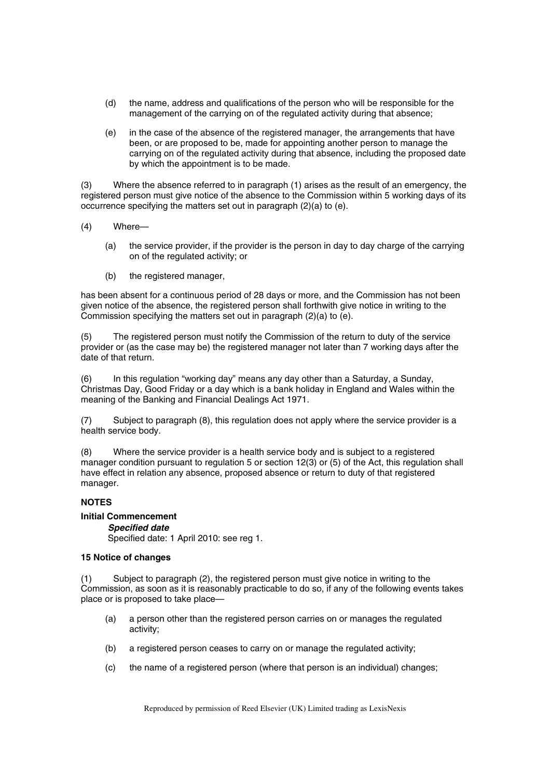- (d) the name, address and qualifications of the person who will be responsible for the management of the carrying on of the regulated activity during that absence;
- (e) in the case of the absence of the registered manager, the arrangements that have been, or are proposed to be, made for appointing another person to manage the carrying on of the regulated activity during that absence, including the proposed date by which the appointment is to be made.

(3) Where the absence referred to in paragraph (1) arises as the result of an emergency, the registered person must give notice of the absence to the Commission within 5 working days of its occurrence specifying the matters set out in paragraph (2)(a) to (e).

- (4) Where—
	- (a) the service provider, if the provider is the person in day to day charge of the carrying on of the regulated activity; or
	- (b) the registered manager,

has been absent for a continuous period of 28 days or more, and the Commission has not been given notice of the absence, the registered person shall forthwith give notice in writing to the Commission specifying the matters set out in paragraph (2)(a) to (e).

(5) The registered person must notify the Commission of the return to duty of the service provider or (as the case may be) the registered manager not later than 7 working days after the date of that return.

(6) In this regulation "working day" means any day other than a Saturday, a Sunday, Christmas Day, Good Friday or a day which is a bank holiday in England and Wales within the meaning of the Banking and Financial Dealings Act 1971.

(7) Subject to paragraph (8), this regulation does not apply where the service provider is a health service body.

(8) Where the service provider is a health service body and is subject to a registered manager condition pursuant to regulation 5 or section 12(3) or (5) of the Act, this regulation shall have effect in relation any absence, proposed absence or return to duty of that registered manager.

# **NOTES**

## **Initial Commencement**

*Specified date* 

Specified date: 1 April 2010: see reg 1.

## **15 Notice of changes**

(1) Subject to paragraph (2), the registered person must give notice in writing to the Commission, as soon as it is reasonably practicable to do so, if any of the following events takes place or is proposed to take place—

- (a) a person other than the registered person carries on or manages the regulated activity;
- (b) a registered person ceases to carry on or manage the regulated activity;
- (c) the name of a registered person (where that person is an individual) changes;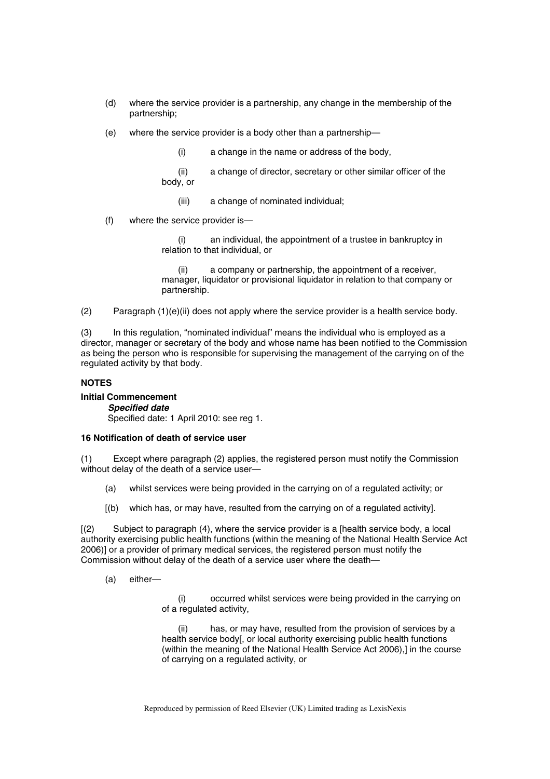- (d) where the service provider is a partnership, any change in the membership of the partnership;
- (e) where the service provider is a body other than a partnership—
	- (i) a change in the name or address of the body,
	- (ii) a change of director, secretary or other similar officer of the body, or
		- (iii) a change of nominated individual;
- (f) where the service provider is—

(i) an individual, the appointment of a trustee in bankruptcy in relation to that individual, or

a company or partnership, the appointment of a receiver, manager, liquidator or provisional liquidator in relation to that company or partnership.

(2) Paragraph (1)(e)(ii) does not apply where the service provider is a health service body.

(3) In this regulation, "nominated individual" means the individual who is employed as a director, manager or secretary of the body and whose name has been notified to the Commission as being the person who is responsible for supervising the management of the carrying on of the regulated activity by that body.

## **NOTES**

**Initial Commencement**  *Specified date*  Specified date: 1 April 2010: see reg 1.

## **16 Notification of death of service user**

(1) Except where paragraph (2) applies, the registered person must notify the Commission without delay of the death of a service user—

- (a) whilst services were being provided in the carrying on of a regulated activity; or
- [(b) which has, or may have, resulted from the carrying on of a regulated activity].

[(2) Subject to paragraph (4), where the service provider is a [health service body, a local authority exercising public health functions (within the meaning of the National Health Service Act 2006)] or a provider of primary medical services, the registered person must notify the Commission without delay of the death of a service user where the death—

(a) either—

(i) occurred whilst services were being provided in the carrying on of a regulated activity,

(ii) has, or may have, resulted from the provision of services by a health service body[, or local authority exercising public health functions (within the meaning of the National Health Service Act 2006),] in the course of carrying on a regulated activity, or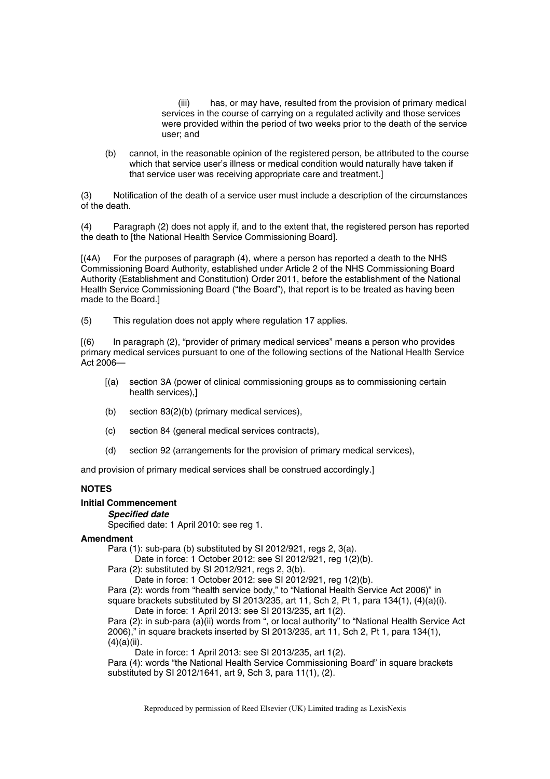(iii) has, or may have, resulted from the provision of primary medical services in the course of carrying on a regulated activity and those services were provided within the period of two weeks prior to the death of the service user; and

(b) cannot, in the reasonable opinion of the registered person, be attributed to the course which that service user's illness or medical condition would naturally have taken if that service user was receiving appropriate care and treatment.]

(3) Notification of the death of a service user must include a description of the circumstances of the death.

(4) Paragraph (2) does not apply if, and to the extent that, the registered person has reported the death to [the National Health Service Commissioning Board].

[(4A) For the purposes of paragraph (4), where a person has reported a death to the NHS Commissioning Board Authority, established under Article 2 of the NHS Commissioning Board Authority (Establishment and Constitution) Order 2011, before the establishment of the National Health Service Commissioning Board ("the Board"), that report is to be treated as having been made to the Board.]

(5) This regulation does not apply where regulation 17 applies.

[(6) In paragraph (2), "provider of primary medical services" means a person who provides primary medical services pursuant to one of the following sections of the National Health Service Act 2006—

- [(a) section 3A (power of clinical commissioning groups as to commissioning certain health services),]
- (b) section 83(2)(b) (primary medical services),
- (c) section 84 (general medical services contracts),
- (d) section 92 (arrangements for the provision of primary medical services),

and provision of primary medical services shall be construed accordingly.]

# **NOTES**

# **Initial Commencement**

## *Specified date*

Specified date: 1 April 2010: see reg 1.

#### **Amendment**

Para (1): sub-para (b) substituted by SI 2012/921, regs 2, 3(a).

Date in force: 1 October 2012: see SI 2012/921, reg 1(2)(b).

Para (2): substituted by SI 2012/921, regs 2, 3(b).

Date in force: 1 October 2012: see SI 2012/921, reg 1(2)(b).

Para (2): words from "health service body," to "National Health Service Act 2006)" in

square brackets substituted by SI 2013/235, art 11, Sch 2, Pt 1, para 134(1), (4)(a)(i). Date in force: 1 April 2013: see SI 2013/235, art 1(2).

Para (2): in sub-para (a)(ii) words from ", or local authority" to "National Health Service Act 2006)," in square brackets inserted by SI 2013/235, art 11, Sch 2, Pt 1, para 134(1),  $(4)(a)(ii)$ .

Date in force: 1 April 2013: see SI 2013/235, art 1(2).

Para (4): words "the National Health Service Commissioning Board" in square brackets substituted by SI 2012/1641, art 9, Sch 3, para 11(1), (2).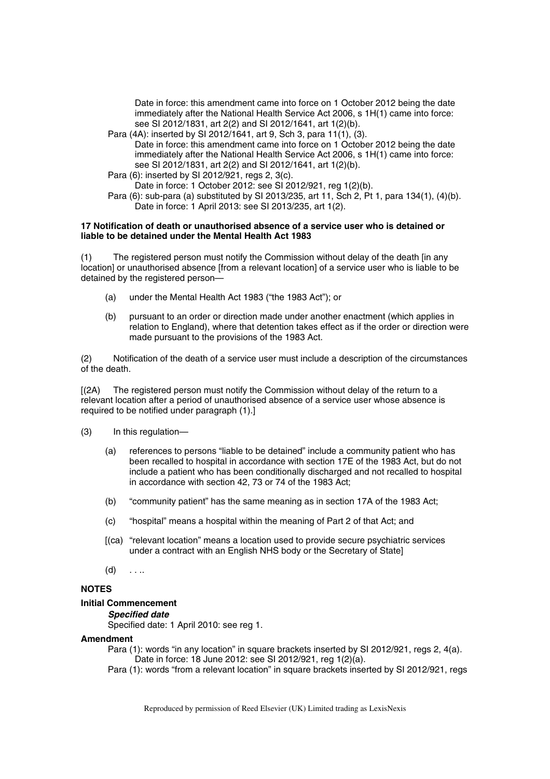Date in force: this amendment came into force on 1 October 2012 being the date immediately after the National Health Service Act 2006, s 1H(1) came into force: see SI 2012/1831, art 2(2) and SI 2012/1641, art 1(2)(b).

- Para (4A): inserted by SI 2012/1641, art 9, Sch 3, para 11(1), (3). Date in force: this amendment came into force on 1 October 2012 being the date immediately after the National Health Service Act 2006, s 1H(1) came into force: see SI 2012/1831, art 2(2) and SI 2012/1641, art 1(2)(b).
- Para (6): inserted by SI 2012/921, regs 2, 3(c).
- Date in force: 1 October 2012: see SI 2012/921, reg 1(2)(b).
- Para (6): sub-para (a) substituted by SI 2013/235, art 11, Sch 2, Pt 1, para 134(1), (4)(b). Date in force: 1 April 2013: see SI 2013/235, art 1(2).

#### **17 Notification of death or unauthorised absence of a service user who is detained or liable to be detained under the Mental Health Act 1983**

(1) The registered person must notify the Commission without delay of the death [in any location] or unauthorised absence [from a relevant location] of a service user who is liable to be detained by the registered person—

- (a) under the Mental Health Act 1983 ("the 1983 Act"); or
- (b) pursuant to an order or direction made under another enactment (which applies in relation to England), where that detention takes effect as if the order or direction were made pursuant to the provisions of the 1983 Act.

(2) Notification of the death of a service user must include a description of the circumstances of the death.

[(2A) The registered person must notify the Commission without delay of the return to a relevant location after a period of unauthorised absence of a service user whose absence is required to be notified under paragraph (1).]

- (3) In this regulation—
	- (a) references to persons "liable to be detained" include a community patient who has been recalled to hospital in accordance with section 17E of the 1983 Act, but do not include a patient who has been conditionally discharged and not recalled to hospital in accordance with section 42, 73 or 74 of the 1983 Act;
	- (b) "community patient" has the same meaning as in section 17A of the 1983 Act;
	- (c) "hospital" means a hospital within the meaning of Part 2 of that Act; and
	- [(ca) "relevant location" means a location used to provide secure psychiatric services under a contract with an English NHS body or the Secretary of State]
	- $(d)$  . . ..

## **NOTES**

#### **Initial Commencement**

*Specified date* 

Specified date: 1 April 2010: see reg 1.

#### **Amendment**

Para (1): words "in any location" in square brackets inserted by SI 2012/921, regs 2, 4(a). Date in force: 18 June 2012: see SI 2012/921, reg 1(2)(a).

Para (1): words "from a relevant location" in square brackets inserted by SI 2012/921, regs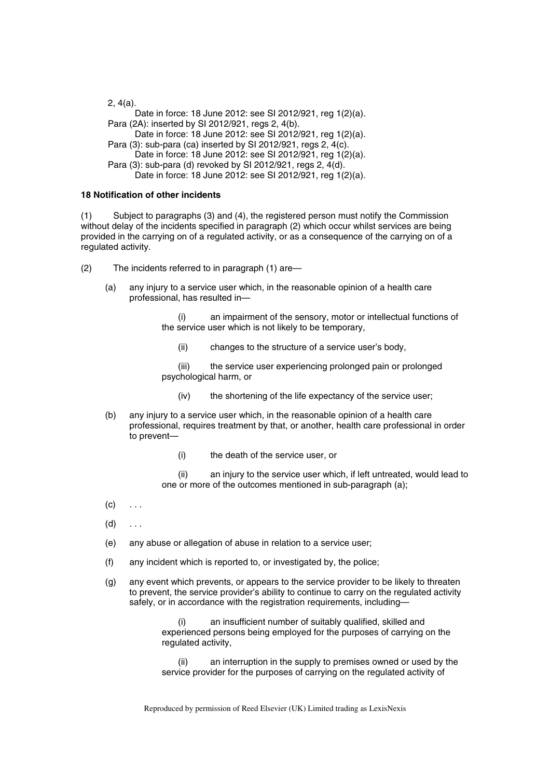2, 4(a). Date in force: 18 June 2012: see SI 2012/921, reg 1(2)(a). Para (2A): inserted by SI 2012/921, regs 2, 4(b). Date in force: 18 June 2012: see SI 2012/921, reg 1(2)(a). Para (3): sub-para (ca) inserted by SI 2012/921, regs 2, 4(c). Date in force: 18 June 2012: see SI 2012/921, reg 1(2)(a). Para (3): sub-para (d) revoked by SI 2012/921, regs 2, 4(d). Date in force: 18 June 2012: see SI 2012/921, reg 1(2)(a).

## **18 Notification of other incidents**

(1) Subject to paragraphs (3) and (4), the registered person must notify the Commission without delay of the incidents specified in paragraph (2) which occur whilst services are being provided in the carrying on of a regulated activity, or as a consequence of the carrying on of a regulated activity.

- (2) The incidents referred to in paragraph (1) are—
	- (a) any injury to a service user which, in the reasonable opinion of a health care professional, has resulted in—

(i) an impairment of the sensory, motor or intellectual functions of the service user which is not likely to be temporary,

(ii) changes to the structure of a service user's body,

(iii) the service user experiencing prolonged pain or prolonged psychological harm, or

- (iv) the shortening of the life expectancy of the service user;
- (b) any injury to a service user which, in the reasonable opinion of a health care professional, requires treatment by that, or another, health care professional in order to prevent—
	- (i) the death of the service user, or

(ii) an injury to the service user which, if left untreated, would lead to one or more of the outcomes mentioned in sub-paragraph (a);

- $(c) \quad \ldots$
- $(d)$  ...
- (e) any abuse or allegation of abuse in relation to a service user;
- (f) any incident which is reported to, or investigated by, the police;
- (g) any event which prevents, or appears to the service provider to be likely to threaten to prevent, the service provider's ability to continue to carry on the regulated activity safely, or in accordance with the registration requirements, including-

an insufficient number of suitably qualified, skilled and experienced persons being employed for the purposes of carrying on the regulated activity,

an interruption in the supply to premises owned or used by the service provider for the purposes of carrying on the regulated activity of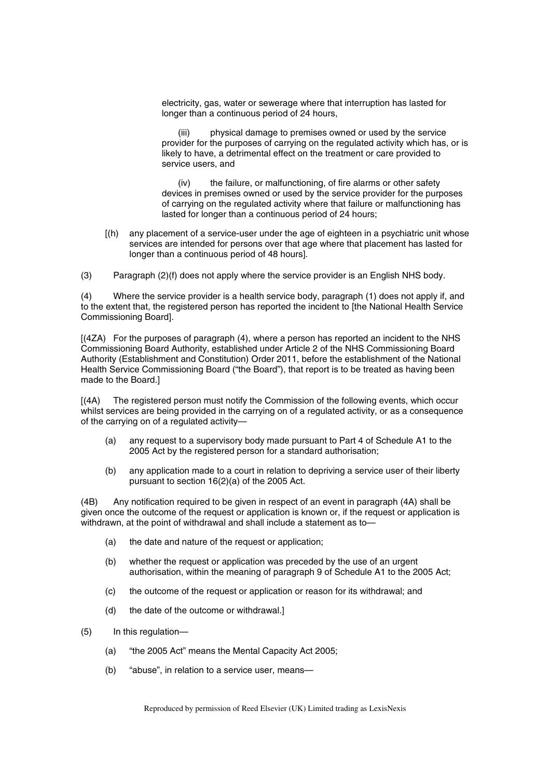electricity, gas, water or sewerage where that interruption has lasted for longer than a continuous period of 24 hours,

(iii) physical damage to premises owned or used by the service provider for the purposes of carrying on the regulated activity which has, or is likely to have, a detrimental effect on the treatment or care provided to service users, and

(iv) the failure, or malfunctioning, of fire alarms or other safety devices in premises owned or used by the service provider for the purposes of carrying on the regulated activity where that failure or malfunctioning has lasted for longer than a continuous period of 24 hours;

- [(h) any placement of a service-user under the age of eighteen in a psychiatric unit whose services are intended for persons over that age where that placement has lasted for longer than a continuous period of 48 hours].
- (3) Paragraph (2)(f) does not apply where the service provider is an English NHS body.

(4) Where the service provider is a health service body, paragraph (1) does not apply if, and to the extent that, the registered person has reported the incident to [the National Health Service Commissioning Board].

[(4ZA) For the purposes of paragraph (4), where a person has reported an incident to the NHS Commissioning Board Authority, established under Article 2 of the NHS Commissioning Board Authority (Establishment and Constitution) Order 2011, before the establishment of the National Health Service Commissioning Board ("the Board"), that report is to be treated as having been made to the Board.]

[(4A) The registered person must notify the Commission of the following events, which occur whilst services are being provided in the carrying on of a regulated activity, or as a consequence of the carrying on of a regulated activity—

- (a) any request to a supervisory body made pursuant to Part 4 of Schedule A1 to the 2005 Act by the registered person for a standard authorisation;
- (b) any application made to a court in relation to depriving a service user of their liberty pursuant to section 16(2)(a) of the 2005 Act.

(4B) Any notification required to be given in respect of an event in paragraph (4A) shall be given once the outcome of the request or application is known or, if the request or application is withdrawn, at the point of withdrawal and shall include a statement as to-

- (a) the date and nature of the request or application;
- (b) whether the request or application was preceded by the use of an urgent authorisation, within the meaning of paragraph 9 of Schedule A1 to the 2005 Act;
- (c) the outcome of the request or application or reason for its withdrawal; and
- (d) the date of the outcome or withdrawal.]
- (5) In this regulation—
	- (a) "the 2005 Act" means the Mental Capacity Act 2005;
	- (b) "abuse", in relation to a service user, means—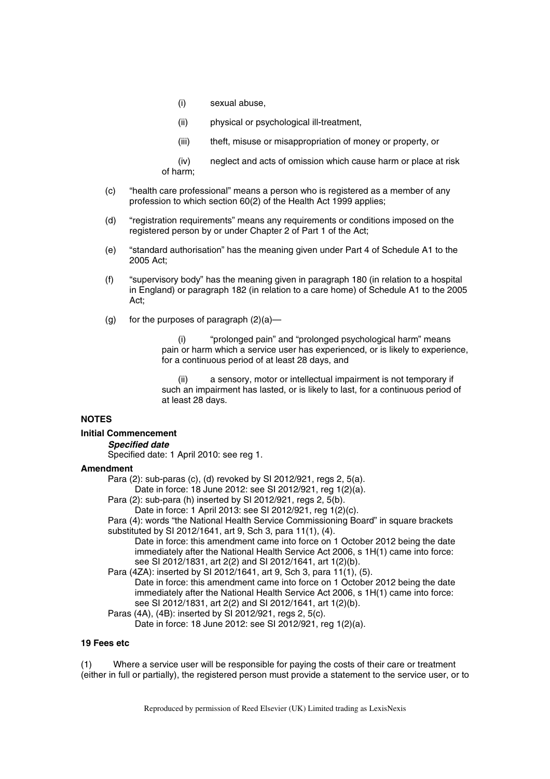- (i) sexual abuse,
- (ii) physical or psychological ill-treatment,
- (iii) theft, misuse or misappropriation of money or property, or
- (iv) neglect and acts of omission which cause harm or place at risk of harm;
- (c) "health care professional" means a person who is registered as a member of any profession to which section 60(2) of the Health Act 1999 applies;
- (d) "registration requirements" means any requirements or conditions imposed on the registered person by or under Chapter 2 of Part 1 of the Act;
- (e) "standard authorisation" has the meaning given under Part 4 of Schedule A1 to the 2005 Act;
- (f) "supervisory body" has the meaning given in paragraph 180 (in relation to a hospital in England) or paragraph 182 (in relation to a care home) of Schedule A1 to the 2005 Act;
- (g) for the purposes of paragraph  $(2)(a)$ —

"prolonged pain" and "prolonged psychological harm" means pain or harm which a service user has experienced, or is likely to experience, for a continuous period of at least 28 days, and

(ii) a sensory, motor or intellectual impairment is not temporary if such an impairment has lasted, or is likely to last, for a continuous period of at least 28 days.

# **NOTES**

#### **Initial Commencement**

*Specified date* 

Specified date: 1 April 2010: see reg 1.

#### **Amendment**

Para (2): sub-paras (c), (d) revoked by SI 2012/921, regs 2, 5(a).

Date in force: 18 June 2012: see SI 2012/921, reg 1(2)(a).

Para (2): sub-para (h) inserted by SI 2012/921, regs 2, 5(b).

Date in force: 1 April 2013: see SI 2012/921, reg 1(2)(c).

Para (4): words "the National Health Service Commissioning Board" in square brackets substituted by SI 2012/1641, art 9, Sch 3, para 11(1), (4).

Date in force: this amendment came into force on 1 October 2012 being the date immediately after the National Health Service Act 2006, s 1H(1) came into force: see SI 2012/1831, art 2(2) and SI 2012/1641, art 1(2)(b).

Para (4ZA): inserted by SI 2012/1641, art 9, Sch 3, para 11(1), (5). Date in force: this amendment came into force on 1 October 2012 being the date immediately after the National Health Service Act 2006, s 1H(1) came into force: see SI 2012/1831, art 2(2) and SI 2012/1641, art 1(2)(b).

Paras (4A), (4B): inserted by SI 2012/921, regs 2, 5(c).

Date in force: 18 June 2012: see SI 2012/921, reg 1(2)(a).

## **19 Fees etc**

(1) Where a service user will be responsible for paying the costs of their care or treatment (either in full or partially), the registered person must provide a statement to the service user, or to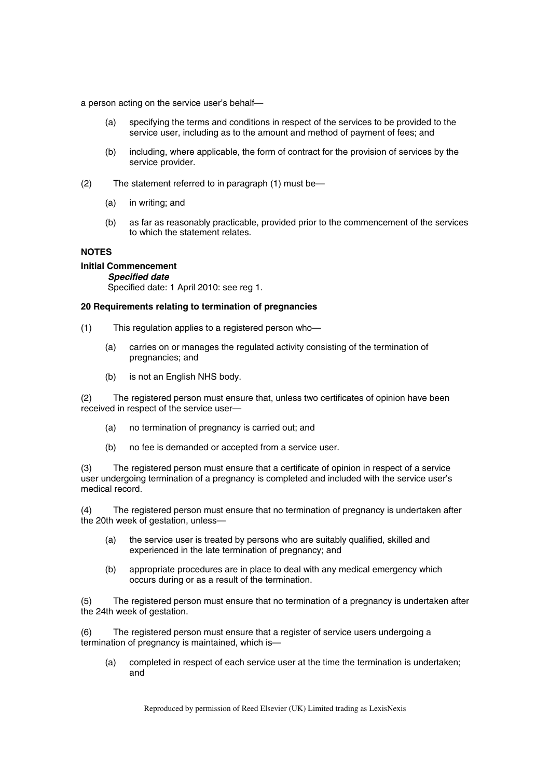a person acting on the service user's behalf—

- (a) specifying the terms and conditions in respect of the services to be provided to the service user, including as to the amount and method of payment of fees; and
- (b) including, where applicable, the form of contract for the provision of services by the service provider.
- (2) The statement referred to in paragraph (1) must be—
	- (a) in writing; and
	- (b) as far as reasonably practicable, provided prior to the commencement of the services to which the statement relates.

#### **NOTES**

# **Initial Commencement**

*Specified date* 

Specified date: 1 April 2010: see reg 1.

# **20 Requirements relating to termination of pregnancies**

- (1) This regulation applies to a registered person who—
	- (a) carries on or manages the regulated activity consisting of the termination of pregnancies; and
	- (b) is not an English NHS body.

(2) The registered person must ensure that, unless two certificates of opinion have been received in respect of the service user—

- (a) no termination of pregnancy is carried out; and
- (b) no fee is demanded or accepted from a service user.

(3) The registered person must ensure that a certificate of opinion in respect of a service user undergoing termination of a pregnancy is completed and included with the service user's medical record.

(4) The registered person must ensure that no termination of pregnancy is undertaken after the 20th week of gestation, unless—

- (a) the service user is treated by persons who are suitably qualified, skilled and experienced in the late termination of pregnancy; and
- (b) appropriate procedures are in place to deal with any medical emergency which occurs during or as a result of the termination.

(5) The registered person must ensure that no termination of a pregnancy is undertaken after the 24th week of gestation.

(6) The registered person must ensure that a register of service users undergoing a termination of pregnancy is maintained, which is—

(a) completed in respect of each service user at the time the termination is undertaken; and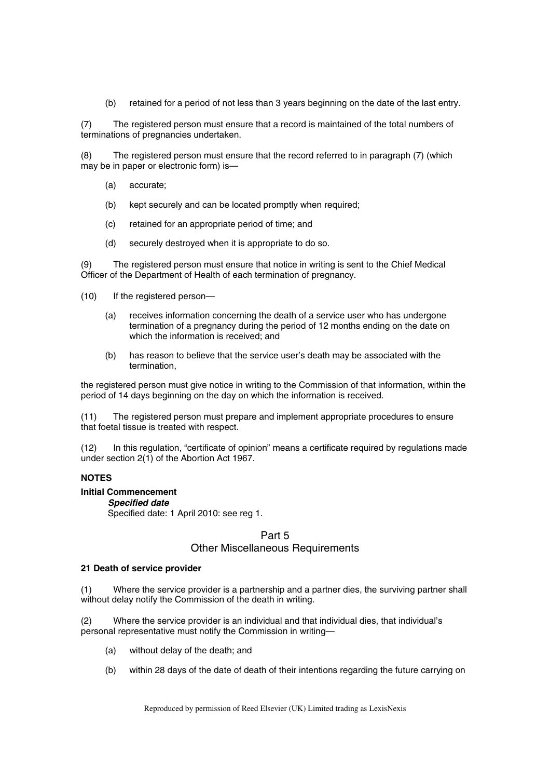(b) retained for a period of not less than 3 years beginning on the date of the last entry.

(7) The registered person must ensure that a record is maintained of the total numbers of terminations of pregnancies undertaken.

(8) The registered person must ensure that the record referred to in paragraph (7) (which may be in paper or electronic form) is—

- (a) accurate;
- (b) kept securely and can be located promptly when required;
- (c) retained for an appropriate period of time; and
- (d) securely destroyed when it is appropriate to do so.

(9) The registered person must ensure that notice in writing is sent to the Chief Medical Officer of the Department of Health of each termination of pregnancy.

- (10) If the registered person—
	- (a) receives information concerning the death of a service user who has undergone termination of a pregnancy during the period of 12 months ending on the date on which the information is received; and
	- (b) has reason to believe that the service user's death may be associated with the termination,

the registered person must give notice in writing to the Commission of that information, within the period of 14 days beginning on the day on which the information is received.

(11) The registered person must prepare and implement appropriate procedures to ensure that foetal tissue is treated with respect.

(12) In this regulation, "certificate of opinion" means a certificate required by regulations made under section 2(1) of the Abortion Act 1967.

## **NOTES**

#### **Initial Commencement**

#### *Specified date*

Specified date: 1 April 2010: see reg 1.

# Part 5 Other Miscellaneous Requirements

#### **21 Death of service provider**

(1) Where the service provider is a partnership and a partner dies, the surviving partner shall without delay notify the Commission of the death in writing.

(2) Where the service provider is an individual and that individual dies, that individual's personal representative must notify the Commission in writing—

- (a) without delay of the death; and
- (b) within 28 days of the date of death of their intentions regarding the future carrying on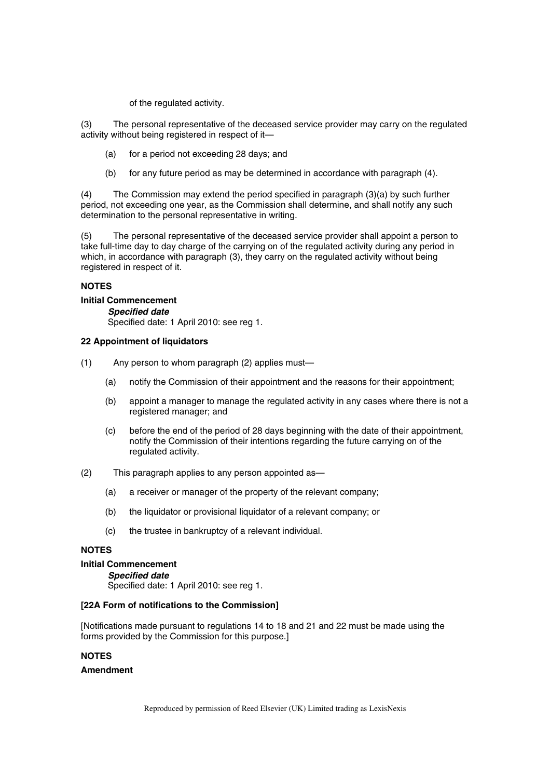of the regulated activity.

(3) The personal representative of the deceased service provider may carry on the regulated activity without being registered in respect of it—

- (a) for a period not exceeding 28 days; and
- (b) for any future period as may be determined in accordance with paragraph (4).

(4) The Commission may extend the period specified in paragraph (3)(a) by such further period, not exceeding one year, as the Commission shall determine, and shall notify any such determination to the personal representative in writing.

(5) The personal representative of the deceased service provider shall appoint a person to take full-time day to day charge of the carrying on of the regulated activity during any period in which, in accordance with paragraph (3), they carry on the regulated activity without being registered in respect of it.

## **NOTES**

#### **Initial Commencement**

*Specified date*  Specified date: 1 April 2010: see reg 1.

#### **22 Appointment of liquidators**

- (1) Any person to whom paragraph (2) applies must—
	- (a) notify the Commission of their appointment and the reasons for their appointment;
	- (b) appoint a manager to manage the regulated activity in any cases where there is not a registered manager; and
	- (c) before the end of the period of 28 days beginning with the date of their appointment, notify the Commission of their intentions regarding the future carrying on of the regulated activity.
- (2) This paragraph applies to any person appointed as—
	- (a) a receiver or manager of the property of the relevant company;
	- (b) the liquidator or provisional liquidator of a relevant company; or
	- (c) the trustee in bankruptcy of a relevant individual.

#### **NOTES**

#### **Initial Commencement**

# *Specified date*

Specified date: 1 April 2010: see reg 1.

#### **[22A Form of notifications to the Commission]**

[Notifications made pursuant to regulations 14 to 18 and 21 and 22 must be made using the forms provided by the Commission for this purpose.]

# **NOTES**

#### **Amendment**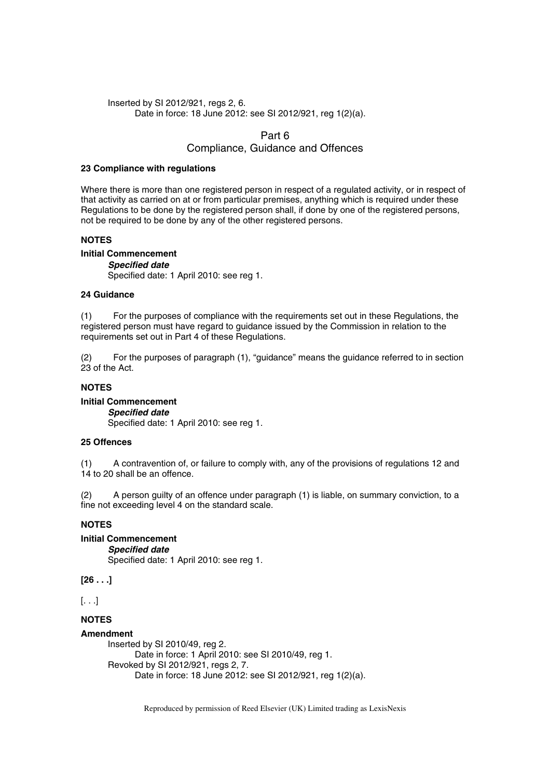#### Inserted by SI 2012/921, regs 2, 6. Date in force: 18 June 2012: see SI 2012/921, reg 1(2)(a).

## Part 6

# Compliance, Guidance and Offences

#### **23 Compliance with regulations**

Where there is more than one registered person in respect of a regulated activity, or in respect of that activity as carried on at or from particular premises, anything which is required under these Regulations to be done by the registered person shall, if done by one of the registered persons, not be required to be done by any of the other registered persons.

## **NOTES**

## **Initial Commencement**

*Specified date*  Specified date: 1 April 2010: see reg 1.

## **24 Guidance**

(1) For the purposes of compliance with the requirements set out in these Regulations, the registered person must have regard to guidance issued by the Commission in relation to the requirements set out in Part 4 of these Regulations.

(2) For the purposes of paragraph (1), "guidance" means the guidance referred to in section 23 of the Act.

## **NOTES**

#### **Initial Commencement**  *Specified date*  Specified date: 1 April 2010: see reg 1.

# **25 Offences**

(1) A contravention of, or failure to comply with, any of the provisions of regulations 12 and 14 to 20 shall be an offence.

(2) A person guilty of an offence under paragraph (1) is liable, on summary conviction, to a fine not exceeding level 4 on the standard scale.

# **NOTES**

## **Initial Commencement**

*Specified date*  Specified date: 1 April 2010: see reg 1.

**[26 . . .]** 

[. . .]

# **NOTES**

## **Amendment**

Inserted by SI 2010/49, reg 2. Date in force: 1 April 2010: see SI 2010/49, reg 1. Revoked by SI 2012/921, regs 2, 7. Date in force: 18 June 2012: see SI 2012/921, reg 1(2)(a).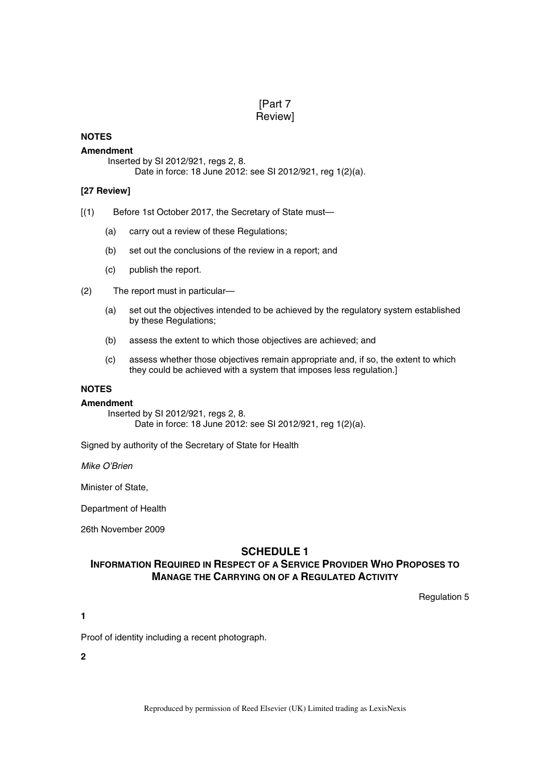# [Part 7 Review]

## **NOTES**

#### **Amendment**

Inserted by SI 2012/921, regs 2, 8. Date in force: 18 June 2012: see SI 2012/921, reg 1(2)(a).

## **[27 Review]**

- [(1) Before 1st October 2017, the Secretary of State must—
	- (a) carry out a review of these Regulations;
	- (b) set out the conclusions of the review in a report; and
	- (c) publish the report.
- (2) The report must in particular—
	- (a) set out the objectives intended to be achieved by the regulatory system established by these Regulations;
	- (b) assess the extent to which those objectives are achieved; and
	- (c) assess whether those objectives remain appropriate and, if so, the extent to which they could be achieved with a system that imposes less regulation.]

# **NOTES**

#### **Amendment**

Inserted by SI 2012/921, regs 2, 8. Date in force: 18 June 2012: see SI 2012/921, reg 1(2)(a).

Signed by authority of the Secretary of State for Health

*Mike O'Brien*

Minister of State,

Department of Health

26th November 2009

# **SCHEDULE 1**

# **INFORMATION REQUIRED IN RESPECT OF A SERVICE PROVIDER WHO PROPOSES TO MANAGE THE CARRYING ON OF A REGULATED ACTIVITY**

Regulation 5

**1** 

Proof of identity including a recent photograph.

**2**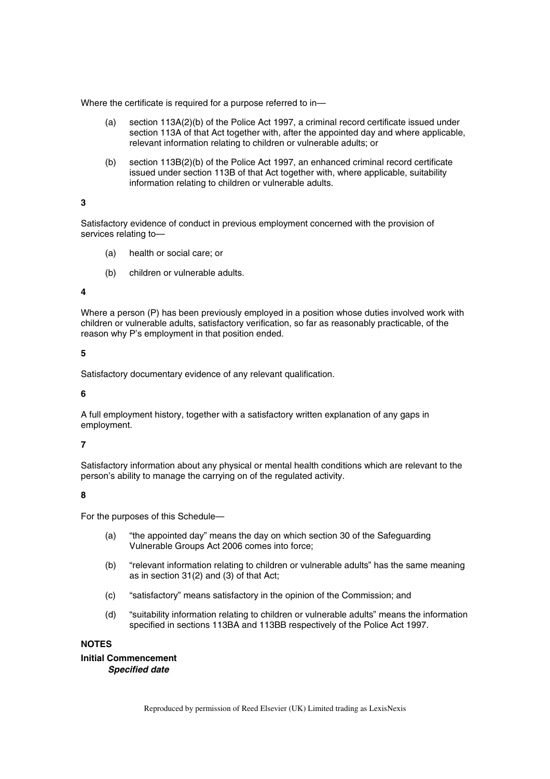Where the certificate is required for a purpose referred to in—

- (a) section 113A(2)(b) of the Police Act 1997, a criminal record certificate issued under section 113A of that Act together with, after the appointed day and where applicable, relevant information relating to children or vulnerable adults; or
- (b) section 113B(2)(b) of the Police Act 1997, an enhanced criminal record certificate issued under section 113B of that Act together with, where applicable, suitability information relating to children or vulnerable adults.

#### **3**

Satisfactory evidence of conduct in previous employment concerned with the provision of services relating to—

- (a) health or social care; or
- (b) children or vulnerable adults.

#### **4**

Where a person (P) has been previously employed in a position whose duties involved work with children or vulnerable adults, satisfactory verification, so far as reasonably practicable, of the reason why P's employment in that position ended.

#### **5**

Satisfactory documentary evidence of any relevant qualification.

**6** 

A full employment history, together with a satisfactory written explanation of any gaps in employment.

## **7**

Satisfactory information about any physical or mental health conditions which are relevant to the person's ability to manage the carrying on of the regulated activity.

## **8**

For the purposes of this Schedule—

- (a) "the appointed day" means the day on which section 30 of the Safeguarding Vulnerable Groups Act 2006 comes into force;
- (b) "relevant information relating to children or vulnerable adults" has the same meaning as in section 31(2) and (3) of that Act;
- (c) "satisfactory" means satisfactory in the opinion of the Commission; and
- (d) "suitability information relating to children or vulnerable adults" means the information specified in sections 113BA and 113BB respectively of the Police Act 1997.

#### **NOTES**

**Initial Commencement**  *Specified date*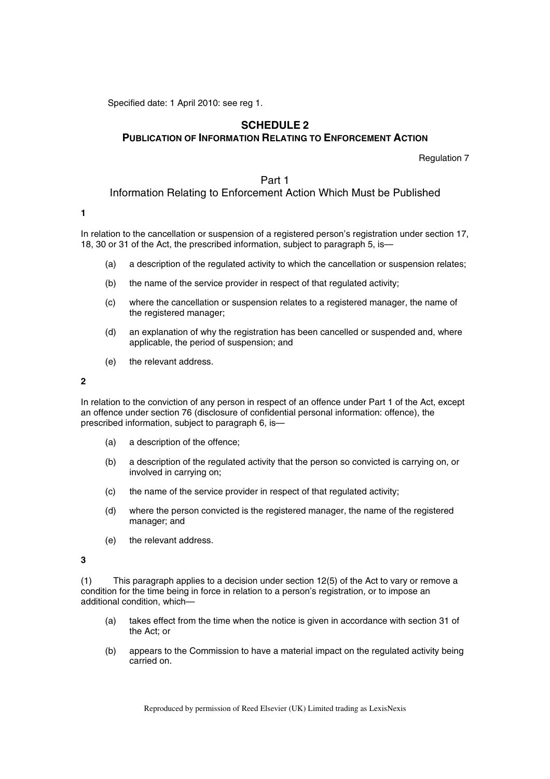Specified date: 1 April 2010: see reg 1.

# **SCHEDULE 2 PUBLICATION OF INFORMATION RELATING TO ENFORCEMENT ACTION**

Regulation 7

# Part 1 Information Relating to Enforcement Action Which Must be Published

#### **1**

In relation to the cancellation or suspension of a registered person's registration under section 17, 18, 30 or 31 of the Act, the prescribed information, subject to paragraph 5, is—

- (a) a description of the regulated activity to which the cancellation or suspension relates;
- (b) the name of the service provider in respect of that regulated activity;
- (c) where the cancellation or suspension relates to a registered manager, the name of the registered manager;
- (d) an explanation of why the registration has been cancelled or suspended and, where applicable, the period of suspension; and
- (e) the relevant address.

**2** 

In relation to the conviction of any person in respect of an offence under Part 1 of the Act, except an offence under section 76 (disclosure of confidential personal information: offence), the prescribed information, subject to paragraph 6, is—

- (a) a description of the offence;
- (b) a description of the regulated activity that the person so convicted is carrying on, or involved in carrying on;
- (c) the name of the service provider in respect of that regulated activity;
- (d) where the person convicted is the registered manager, the name of the registered manager; and
- (e) the relevant address.

**3** 

(1) This paragraph applies to a decision under section 12(5) of the Act to vary or remove a condition for the time being in force in relation to a person's registration, or to impose an additional condition, which—

- (a) takes effect from the time when the notice is given in accordance with section 31 of the Act; or
- (b) appears to the Commission to have a material impact on the regulated activity being carried on.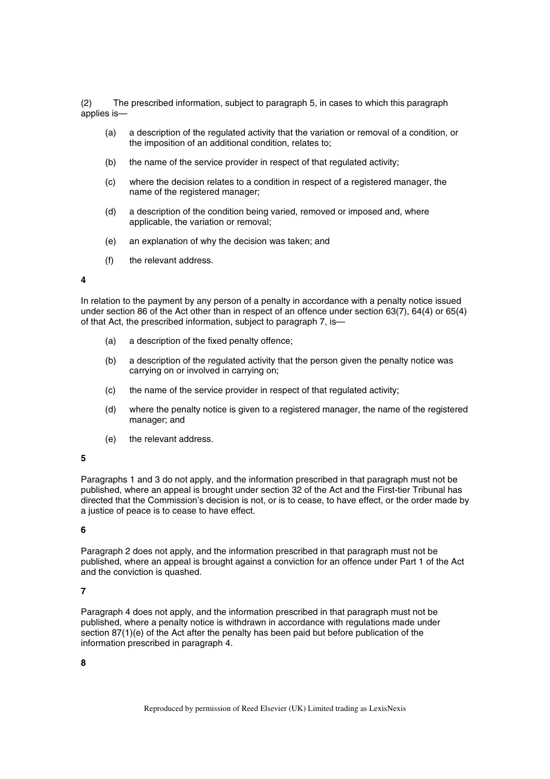(2) The prescribed information, subject to paragraph 5, in cases to which this paragraph applies is—

- (a) a description of the regulated activity that the variation or removal of a condition, or the imposition of an additional condition, relates to;
- (b) the name of the service provider in respect of that regulated activity;
- (c) where the decision relates to a condition in respect of a registered manager, the name of the registered manager;
- (d) a description of the condition being varied, removed or imposed and, where applicable, the variation or removal;
- (e) an explanation of why the decision was taken; and
- (f) the relevant address.

#### **4**

In relation to the payment by any person of a penalty in accordance with a penalty notice issued under section 86 of the Act other than in respect of an offence under section 63(7), 64(4) or 65(4) of that Act, the prescribed information, subject to paragraph 7, is—

- (a) a description of the fixed penalty offence;
- (b) a description of the regulated activity that the person given the penalty notice was carrying on or involved in carrying on;
- (c) the name of the service provider in respect of that regulated activity;
- (d) where the penalty notice is given to a registered manager, the name of the registered manager; and
- (e) the relevant address.

#### **5**

Paragraphs 1 and 3 do not apply, and the information prescribed in that paragraph must not be published, where an appeal is brought under section 32 of the Act and the First-tier Tribunal has directed that the Commission's decision is not, or is to cease, to have effect, or the order made by a justice of peace is to cease to have effect.

#### **6**

Paragraph 2 does not apply, and the information prescribed in that paragraph must not be published, where an appeal is brought against a conviction for an offence under Part 1 of the Act and the conviction is quashed.

# **7**

Paragraph 4 does not apply, and the information prescribed in that paragraph must not be published, where a penalty notice is withdrawn in accordance with regulations made under section 87(1)(e) of the Act after the penalty has been paid but before publication of the information prescribed in paragraph 4.

## **8**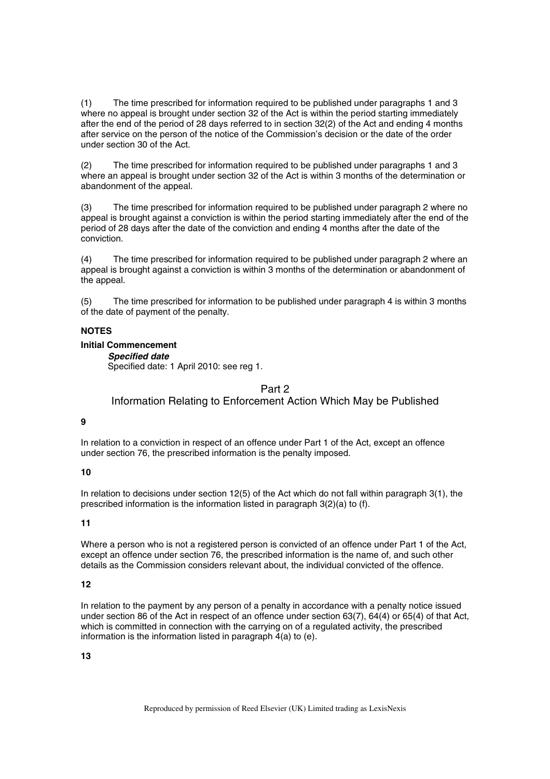(1) The time prescribed for information required to be published under paragraphs 1 and 3 where no appeal is brought under section 32 of the Act is within the period starting immediately after the end of the period of 28 days referred to in section 32(2) of the Act and ending 4 months after service on the person of the notice of the Commission's decision or the date of the order under section 30 of the Act.

(2) The time prescribed for information required to be published under paragraphs 1 and 3 where an appeal is brought under section 32 of the Act is within 3 months of the determination or abandonment of the appeal.

(3) The time prescribed for information required to be published under paragraph 2 where no appeal is brought against a conviction is within the period starting immediately after the end of the period of 28 days after the date of the conviction and ending 4 months after the date of the conviction.

(4) The time prescribed for information required to be published under paragraph 2 where an appeal is brought against a conviction is within 3 months of the determination or abandonment of the appeal.

(5) The time prescribed for information to be published under paragraph 4 is within 3 months of the date of payment of the penalty.

## **NOTES**

#### **Initial Commencement**

*Specified date* 

Specified date: 1 April 2010: see reg 1.

Part 2

Information Relating to Enforcement Action Which May be Published

#### **9**

In relation to a conviction in respect of an offence under Part 1 of the Act, except an offence under section 76, the prescribed information is the penalty imposed.

#### **10**

In relation to decisions under section 12(5) of the Act which do not fall within paragraph 3(1), the prescribed information is the information listed in paragraph 3(2)(a) to (f).

# **11**

Where a person who is not a registered person is convicted of an offence under Part 1 of the Act, except an offence under section 76, the prescribed information is the name of, and such other details as the Commission considers relevant about, the individual convicted of the offence.

## **12**

In relation to the payment by any person of a penalty in accordance with a penalty notice issued under section 86 of the Act in respect of an offence under section 63(7), 64(4) or 65(4) of that Act, which is committed in connection with the carrying on of a regulated activity, the prescribed information is the information listed in paragraph  $\overline{4}$ (a) to (e).

## **13**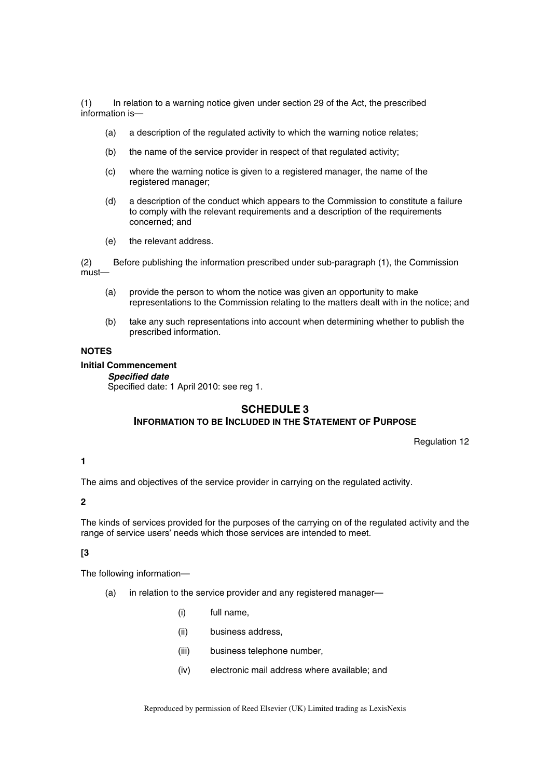(1) In relation to a warning notice given under section 29 of the Act, the prescribed information is—

- (a) a description of the regulated activity to which the warning notice relates;
- (b) the name of the service provider in respect of that regulated activity;
- (c) where the warning notice is given to a registered manager, the name of the registered manager;
- (d) a description of the conduct which appears to the Commission to constitute a failure to comply with the relevant requirements and a description of the requirements concerned; and
- (e) the relevant address.

(2) Before publishing the information prescribed under sub-paragraph (1), the Commission must—

- (a) provide the person to whom the notice was given an opportunity to make representations to the Commission relating to the matters dealt with in the notice; and
- (b) take any such representations into account when determining whether to publish the prescribed information.

## **NOTES**

#### **Initial Commencement**

#### *Specified date*

Specified date: 1 April 2010: see reg 1.

## **SCHEDULE 3**

## **INFORMATION TO BE INCLUDED IN THE STATEMENT OF PURPOSE**

Regulation 12

# **1**

The aims and objectives of the service provider in carrying on the regulated activity.

#### **2**

The kinds of services provided for the purposes of the carrying on of the regulated activity and the range of service users' needs which those services are intended to meet.

## **[3**

The following information—

- (a) in relation to the service provider and any registered manager—
	- (i) full name,
	- (ii) business address,
	- (iii) business telephone number,
	- (iv) electronic mail address where available; and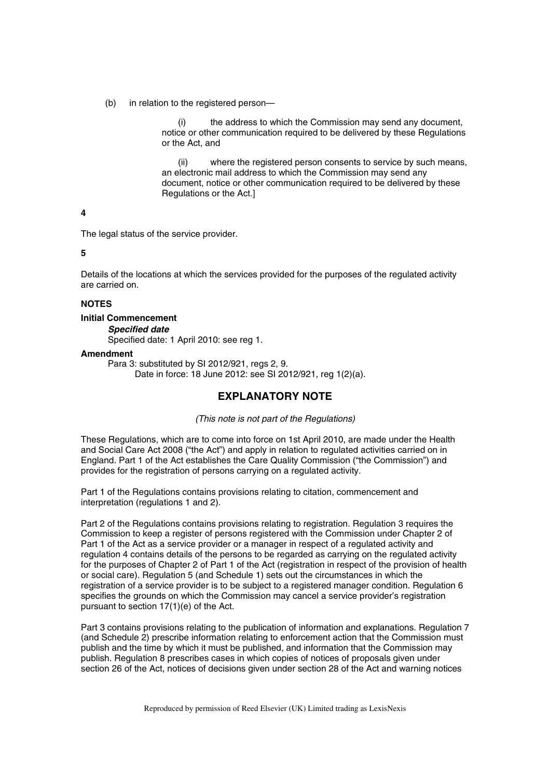(b) in relation to the registered person—

(i) the address to which the Commission may send any document, notice or other communication required to be delivered by these Regulations or the Act, and

(ii) where the registered person consents to service by such means, an electronic mail address to which the Commission may send any document, notice or other communication required to be delivered by these Regulations or the Act.]

**4** 

The legal status of the service provider.

**5** 

Details of the locations at which the services provided for the purposes of the regulated activity are carried on.

#### **NOTES**

#### **Initial Commencement**

*Specified date* 

Specified date: 1 April 2010: see reg 1.

#### **Amendment**

Para 3: substituted by SI 2012/921, regs 2, 9.

Date in force: 18 June 2012: see SI 2012/921, reg 1(2)(a).

# **EXPLANATORY NOTE**

*(This note is not part of the Regulations)* 

These Regulations, which are to come into force on 1st April 2010, are made under the Health and Social Care Act 2008 ("the Act") and apply in relation to regulated activities carried on in England. Part 1 of the Act establishes the Care Quality Commission ("the Commission") and provides for the registration of persons carrying on a regulated activity.

Part 1 of the Regulations contains provisions relating to citation, commencement and interpretation (regulations 1 and 2).

Part 2 of the Regulations contains provisions relating to registration. Regulation 3 requires the Commission to keep a register of persons registered with the Commission under Chapter 2 of Part 1 of the Act as a service provider or a manager in respect of a regulated activity and regulation 4 contains details of the persons to be regarded as carrying on the regulated activity for the purposes of Chapter 2 of Part 1 of the Act (registration in respect of the provision of health or social care). Regulation 5 (and Schedule 1) sets out the circumstances in which the registration of a service provider is to be subject to a registered manager condition. Regulation 6 specifies the grounds on which the Commission may cancel a service provider's registration pursuant to section 17(1)(e) of the Act.

Part 3 contains provisions relating to the publication of information and explanations. Regulation 7 (and Schedule 2) prescribe information relating to enforcement action that the Commission must publish and the time by which it must be published, and information that the Commission may publish. Regulation 8 prescribes cases in which copies of notices of proposals given under section 26 of the Act, notices of decisions given under section 28 of the Act and warning notices